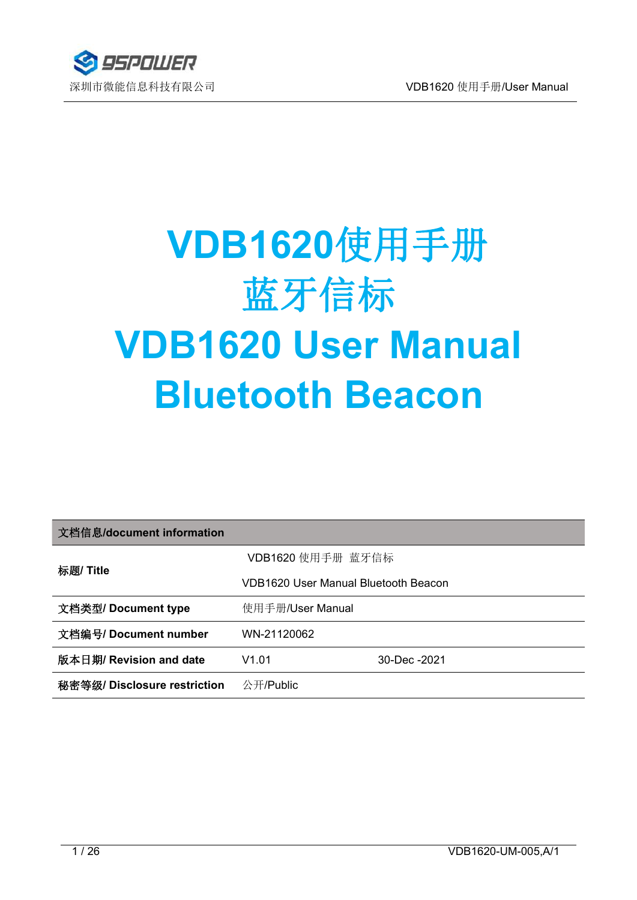

# **VDB1620**使用手册 蓝牙信标 **VDB1620 User Manual Bluetooth Beacon**

| 文档信息/document information    |                                             |              |
|------------------------------|---------------------------------------------|--------------|
| 标题/ Title                    | VDB1620 使用手册 蓝牙信标                           |              |
|                              | <b>VDB1620 User Manual Bluetooth Beacon</b> |              |
| 文档类型/ Document type          | 使用手册/User Manual                            |              |
| 文档编号/ Document number        | WN-21120062                                 |              |
| 版本日期/ Revision and date      | V1.01                                       | 30-Dec -2021 |
| 秘密等级/ Disclosure restriction | 公开/Public                                   |              |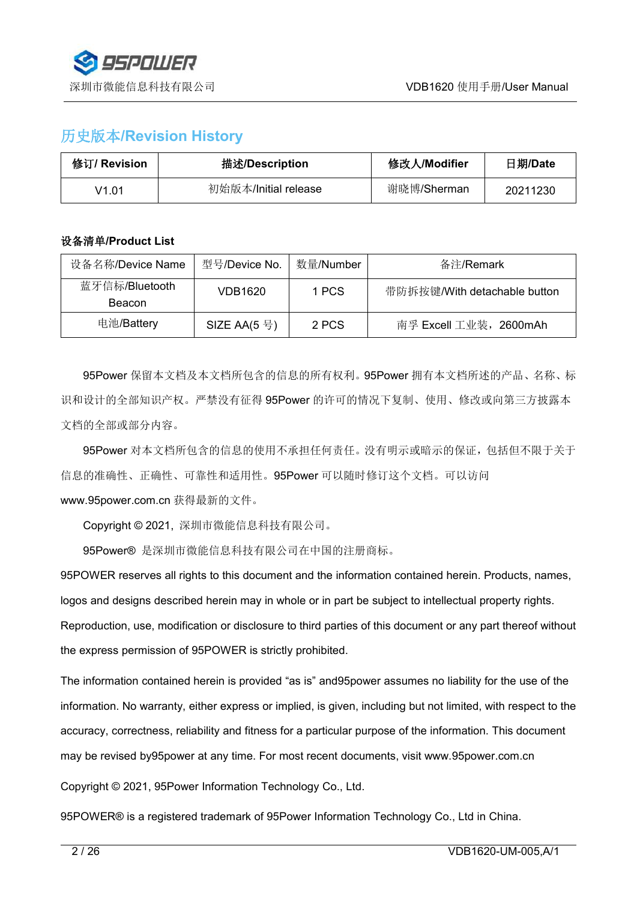

## 历史版本**/Revision History**

| 修订/ Revision | 描述/Description       | 修改人/Modifier | 日期/Date  |
|--------------|----------------------|--------------|----------|
| V1.01        | 初始版本/Initial release | 谢晓博/Sherman  | 20211230 |

#### 设备清单**/Product List**

| 设备名称/Device Name                | 型号/Device No. | 数量/Number | 备注/Remark                    |
|---------------------------------|---------------|-----------|------------------------------|
| 蓝牙信标/Bluetooth<br><b>Beacon</b> | VDB1620       | 1 PCS     | 带防拆按键/With detachable button |
| 电池/Battery                      | SIZE AA(5 号)  | 2 PCS     | 南孚 Excell 工业装, 2600mAh       |

95Power 保留本文档及本文档所包含的信息的所有权利。95Power 拥有本文档所述的产品、名称、标 识和设计的全部知识产权。严禁没有征得 95Power 的许可的情况下复制、使用、修改或向第三方披露本 文档的全部或部分内容。

95Power 对本文档所包含的信息的使用不承担任何责任。没有明示或暗示的保证,包括但不限于关于 信息的准确性、正确性、可靠性和适用性。95Power 可以随时修订这个文档。可以访问 [www.95power.com.cn](http://www.skylab.com.cn) 获得最新的文件。

Copyright © 2021, 深圳市微能信息科技有限公司。

95Power® 是深圳市微能信息科技有限公司在中国的注册商标。

95POWER reserves all rights to this document and the information contained herein. Products, names, logos and designs described herein may in whole or in part be subject to intellectual property rights. Reproduction, use, modification or disclosure to third parties of this document or any part thereof without the express permission of 95POWER is strictly prohibited.

The information contained herein is provided "as is" and95power assumes no liability for the use of the information. No warranty, either express or implied, is given, including but not limited, with respect to the accuracy, correctness, reliability and fitness for a particular purpose of the information. This document may be revised by95power at any time. For most recent documents, visit [www.95power.com.cn](http://www.skylab.com.cn)

Copyright © 2021, 95Power Information Technology Co., Ltd.

95POWER® is a registered trademark of 95Power Information Technology Co., Ltd in China.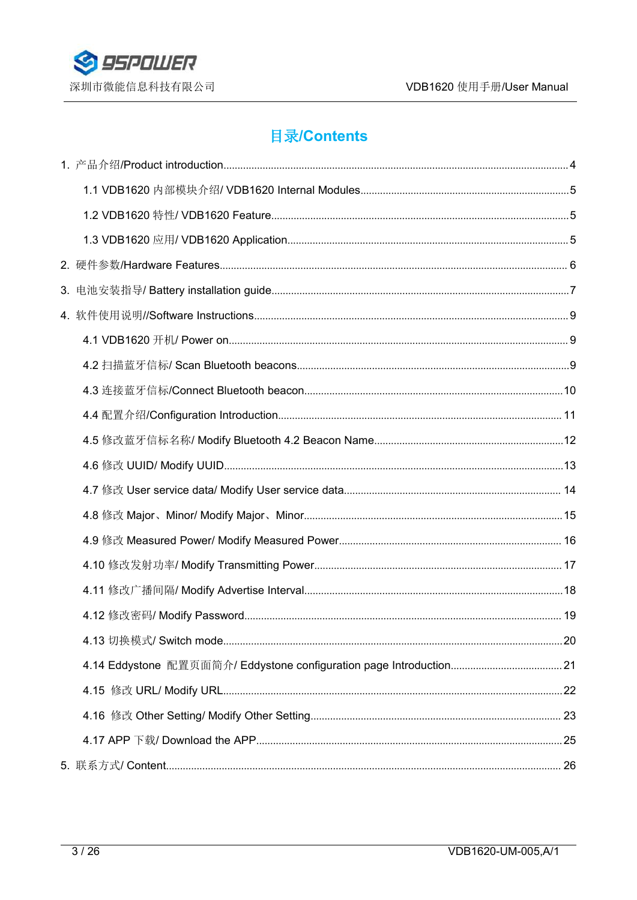

# **目录/Contents**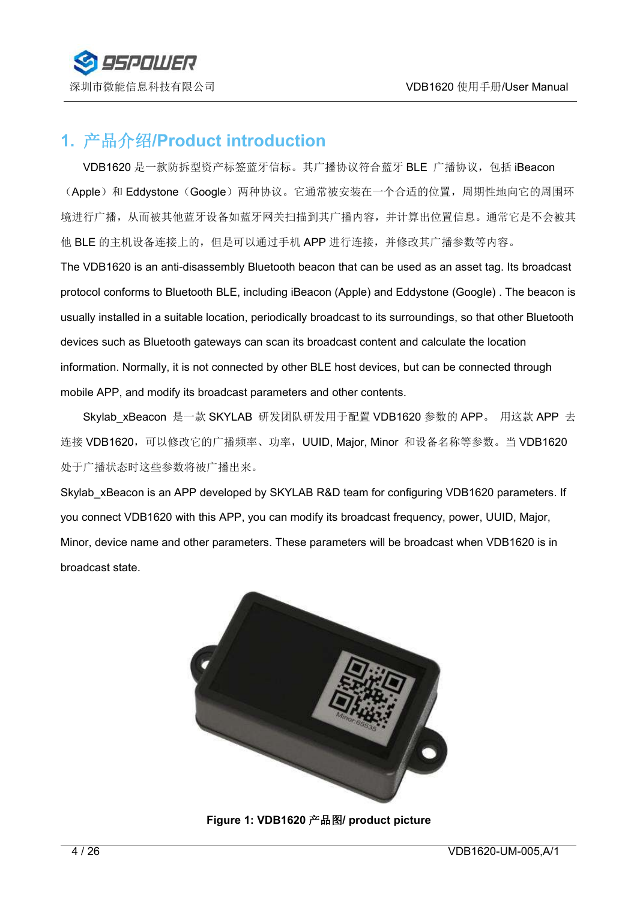

# <span id="page-3-0"></span>**1.** 产品介绍**/Product introduction**

VDB1620 是一款防拆型资产标签蓝牙信标。其广播协议符合蓝牙 BLE 广播协议,包括 iBeacon (Apple)和 Eddystone (Google)两种协议。它通常被安装在一个合适的位置,周期性地向它的周围环 境进行广播,从而被其他蓝牙设备如蓝牙网关扫描到其广播内容,并计算出位置信息。通常它是不会被其 他 BLE 的主机设备连接上的,但是可以通过手机 APP 进行连接,并修改其广播参数等内容。

The VDB1620 is an anti-disassembly Bluetooth beacon that can be used as an asset tag. Its broadcast protocol conforms to Bluetooth BLE, including iBeacon (Apple) and Eddystone (Google). The beacon is usually installed in a suitable location, periodically broadcast to its surroundings, so that other Bluetooth devices such as Bluetooth gateways can scan its broadcast content and calculate the location information. Normally, it is not connected by other BLE host devices, but can be connected through mobile APP, and modify its broadcast parameters and other contents.

Skylab\_xBeacon 是一款 SKYLAB 研发团队研发用于配置 VDB1620 参数的 APP。 用这款 APP 去 连接 VDB1620, 可以修改它的广播频率、功率, UUID, Major, Minor 和设备名称等参数。当 VDB1620 处于广播状态时这些参数将被广播出来。

Skylab xBeacon is an APP developed by SKYLAB R&D team for configuring VDB1620 parameters. If you connect VDB1620 with this APP, you can modify its broadcast frequency, power, UUID, Major, Minor, device name and other parameters. These parameters will be broadcast when VDB1620 is in broadcast state.



**Figure 1: VDB1620** 产品图**/ product picture**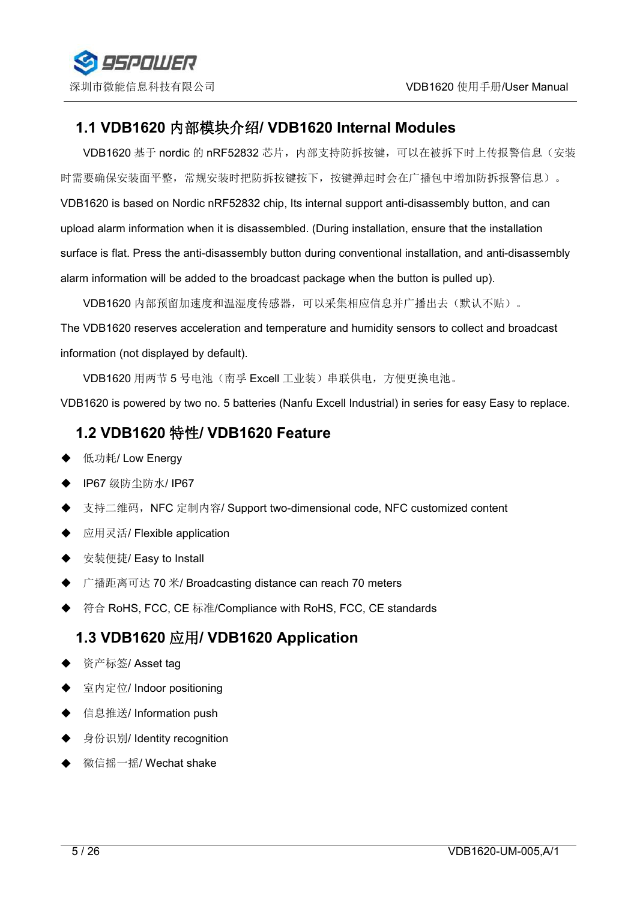

#### <span id="page-4-0"></span>**1.1 VDB1620** 内部模块介绍**/ VDB1620 Internal Modules**

VDB1620 基于 nordic 的 nRF52832 芯片, 内部支持防拆按键, 可以在被拆下时上传报警信息(安装 时需要确保安装面平整,常规安装时把防拆按键按下,按键弹起时会在广播包中增加防拆报警信息)。 VDB1620 is based on Nordic nRF52832 chip, Its internal support anti-disassembly button, and can upload alarm information when it is disassembled. (During installation, ensure that the installation surface is flat. Press the anti-disassembly button during conventional installation, and anti-disassembly alarm information will be added to the broadcast package when the button is pulled up).

VDB1620 内部预留加速度和温湿度传感器,可以采集相应信息并广播出去(默认不贴)。

The VDB1620 reserves acceleration and temperature and humidity sensors to collectand broadcast

information (not displayed by default).<br>VDB1620 用两节 5 号电池(南孚 Excell 工业装)串联供电,方便更换电池。

VDB1620 is powered by two no. 5 batteries (Nanfu Excell Industrial) in series for easy Easy to replace.

#### <span id="page-4-1"></span>**1.2 VDB1620** 特性**/ VDB1620 Feature**

- ◆ 低功耗/ Low Energy
- ◆ IP67 级防尘防水/ IP67
- ◆ 支持二维码, NFC 定制内容/ Support two-dimensional code, NFC customized content
- ◆ 应用灵活/ Flexible application
- ◆ 安装便捷/ Easy to Install
- ◆ 广播距离可达 70 米/ Broadcasting distance can reach 70 meters
- ◆ 符合 RoHS, FCC, CE 标准/Compliance with RoHS, FCC, CE standards

#### <span id="page-4-2"></span>**1.3 VDB1620** 应用**/ VDB1620 Application**

- ◆ 资产标签/ Asset tag
- ◆ 室内定位/ Indoor positioning
- ◆ 信息推送/ Information push
- ◆ 身份识别/ Identity recognition
- ◆ 微信摇一摇/ Wechat shake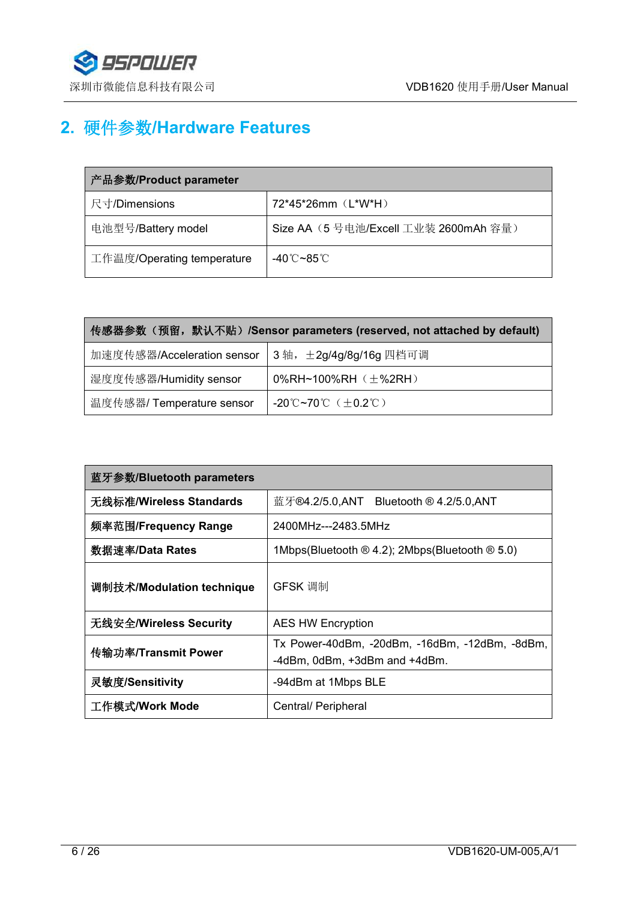

# <span id="page-5-0"></span>**2.** 硬件参数**/Hardware Features**

| 产品参数/Product parameter     |                                      |  |
|----------------------------|--------------------------------------|--|
| 尺寸/Dimensions              | 72*45*26mm (L*W*H)                   |  |
| 电池型号/Battery model         | Size AA (5号电池/Excell 工业装 2600mAh 容量) |  |
| 工作温度/Operating temperature | -40℃~85℃                             |  |

| 传感器参数(预留,默认不贴)/Sensor parameters (reserved, not attached by default)  |                             |  |
|-----------------------------------------------------------------------|-----------------------------|--|
| 加速度传感器/Acceleration sensor   3轴, ±2g/4g/8g/16g 四档可调                   |                             |  |
| 湿度度传感器/Humidity sensor                                                | 0%RH~100%RH $(\pm$ %2RH $)$ |  |
| 温度传感器/ Temperature sensor<br>-20°C~70°C $(\pm 0.2^{\circ}\mathrm{C})$ |                             |  |

| 蓝牙参数/Bluetooth parameters |                                                                                 |  |
|---------------------------|---------------------------------------------------------------------------------|--|
| 无线标准/Wireless Standards   | 蓝牙®4.2/5.0,ANT Bluetooth ® 4.2/5.0,ANT                                          |  |
| 频率范围/Frequency Range      | 2400MHz---2483.5MHz                                                             |  |
| 数据速率/Data Rates           | 1Mbps(Bluetooth $\otimes$ 4.2); 2Mbps(Bluetooth $\otimes$ 5.0)                  |  |
| 调制技术/Modulation technique | GFSK 调制                                                                         |  |
| 无线安全/Wireless Security    | <b>AES HW Encryption</b>                                                        |  |
| 传输功率/Transmit Power       | Tx Power-40dBm, -20dBm, -16dBm, -12dBm, -8dBm,<br>-4dBm, 0dBm, +3dBm and +4dBm. |  |
| 灵敏度/Sensitivity           | -94dBm at 1Mbps BLE                                                             |  |
| 工作模式/Work Mode            | Central/ Peripheral                                                             |  |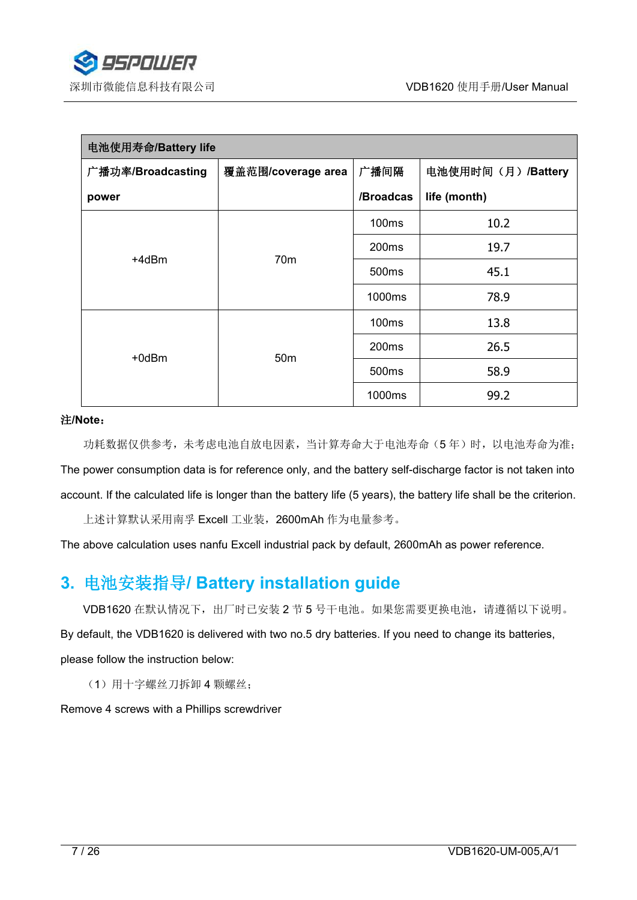

| 电池使用寿命/Battery life |                    |                   |                   |
|---------------------|--------------------|-------------------|-------------------|
| 广播功率/Broadcasting   | 覆盖范围/coverage area | 广播间隔              | 电池使用时间(月)/Battery |
| power               |                    | /Broadcas         | life (month)      |
|                     |                    | 100 <sub>ms</sub> | 10.2              |
| +4dBm               | 70 <sub>m</sub>    | 200 <sub>ms</sub> | 19.7              |
|                     |                    | 500ms             | 45.1              |
|                     |                    | 1000ms            | 78.9              |
| +0dBm               | 50 <sub>m</sub>    | <b>100ms</b>      | 13.8              |
|                     |                    | 200 <sub>ms</sub> | 26.5              |
|                     |                    | 500ms             | 58.9              |
|                     |                    | 1000ms            | 99.2              |

#### 注**/Note**:

功耗数据仅供参考,未考虑电池自放电因素,当计算寿命大于电池寿命(5年)时,以电池寿命为准; The power consumption data is for reference only, and the battery self-discharge factor is not taken into account. If the calculated life is longer than the battery life (5 years), the battery life shall be the criterion.

上述计算默认采用南孚 Excell 工业装,2600mAh 作为电量参考。

The above calculation uses nanfu Excell industrial pack by default, 2600mAh as power reference.

# <span id="page-6-0"></span>**3.** 电池安装指导**/ Battery installation guide**

VDB1620 在默认情况下, 出厂时已安装 2 节 5 号干电池。如果您需要更换电池, 请遵循以下说明。

By default, the VDB1620 is delivered with two no.5 dry batteries. If you need to change its batteries,

please follow the instruction below:

(1)用十字螺丝刀拆卸 4 颗螺丝;

Remove 4 screws with a Phillips screwdriver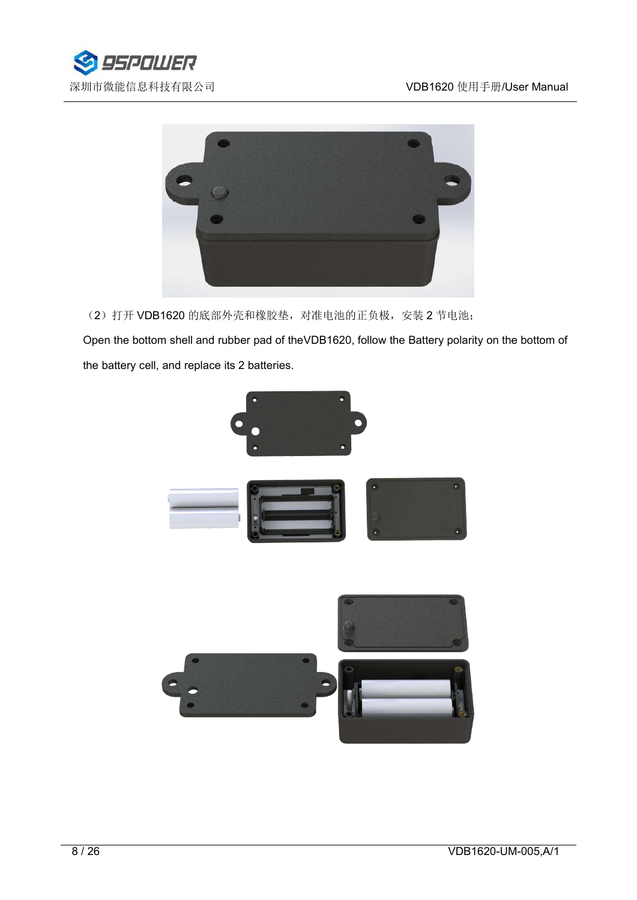



(2) 打开 VDB1620 的底部外壳和橡胶垫, 对准电池的正负极, 安装 2 节电池;

Open the bottom shell and rubber pad of theVDB1620, follow the Battery polarity on the bottom of the battery cell, and replace its 2 batteries.

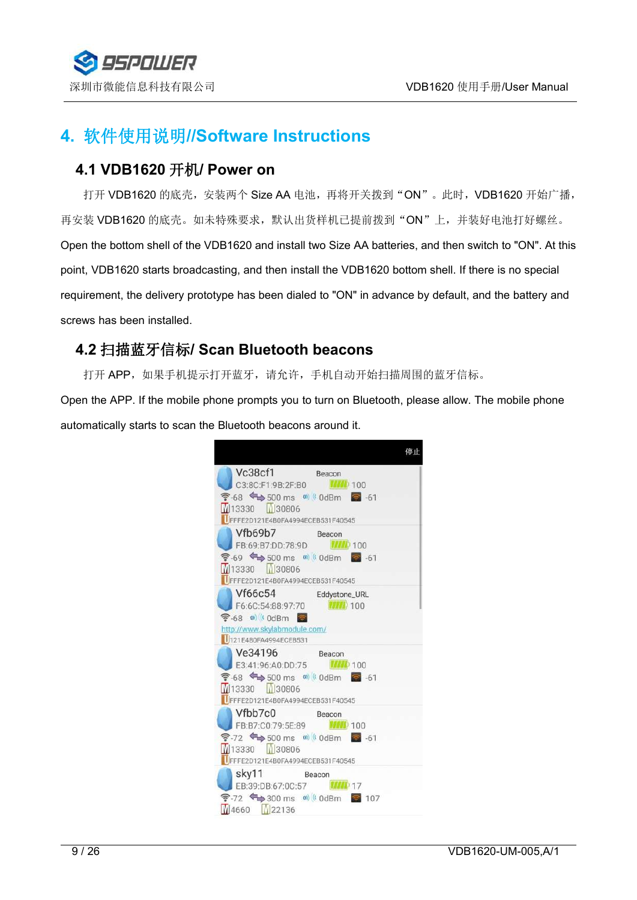

# <span id="page-8-0"></span>**4.** 软件使用说明**//Software Instructions**

#### <span id="page-8-1"></span>**4.1 VDB1620** 开机**/ Power on**

打开 VDB1620 的底壳,安装两个 Size AA 电池,再将开关拨到"ON"。此时,VDB1620 开始广播, 再安装 VDB1620 的底壳。如未特殊要求,默认出货样机已提前拨到"ON"上,并装好电池打好螺丝。 Open the bottom shell of the VDB1620 and install two Size AA batteries, and then switch to "ON". At this point, VDB1620 starts broadcasting, and then install the VDB1620 bottom shell. If there is no special requirement, the delivery prototype has been dialed to "ON" in advance by default, and the battery and screws has been installed.

## <span id="page-8-2"></span>**4.2** 扫描蓝牙信标**/ Scan Bluetooth beacons**

打开 APP, 如果手机提示打开蓝牙, 请允许, 手机自动开始扫描周围的蓝牙信标。

Open the APP. If the mobile phone prompts you to turn on Bluetooth, please allow. The mobile phone automatically starts to scan the Bluetooth beacons around it.

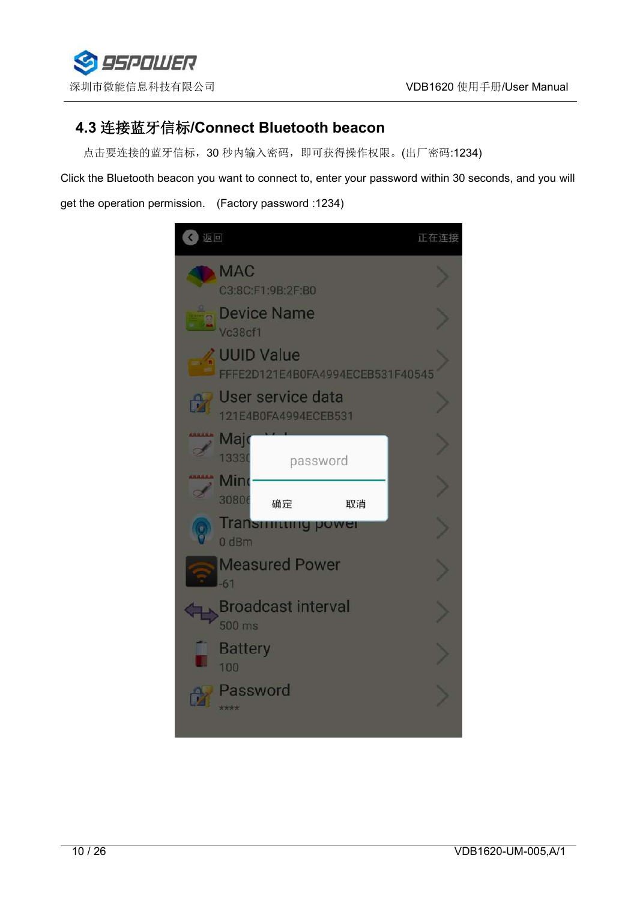

## <span id="page-9-0"></span>**4.3** 连接蓝牙信标**/Connect Bluetooth beacon**

点击要连接的蓝牙信标,30 秒内输入密码,即可获得操作权限。(出厂密码:1234)

Click the Bluetooth beacon you want to connect to, enter your password within 30 seconds, and you will get the operation permission. (Factory password :1234)

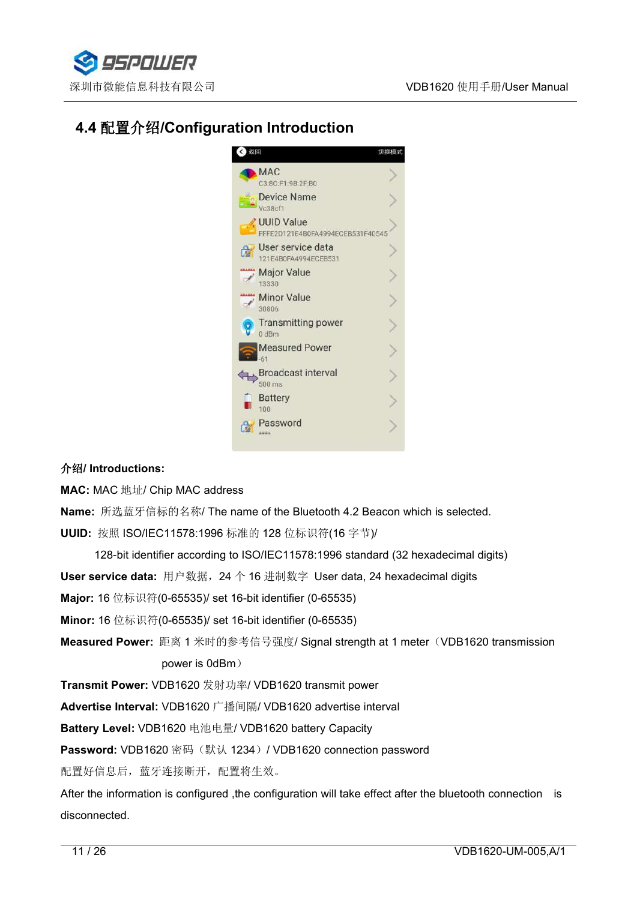

# <span id="page-10-0"></span>**4.4** 配置介绍**/Configuration Introduction**



#### 介绍**/ Introductions:**

**MAC:** MAC 地址/ Chip MAC address

**Name:** 所选蓝牙信标的名称/ The name of the Bluetooth 4.2 Beacon which isselected.**UUID:** 按照 ISO/IEC11578:1996 标准的 128 位标识符(16 字节)/

128-bit identifier according to ISO/IEC11578:1996 standard (32 hexadecimal digits)

**User service data:** 用户数据,24 个 16 进制数字 User data, 24 hexadecimal digits

**Major:** 16 位标识符(0-65535)/ set 16-bit identifier (0-65535)

**Minor:** 16 位标识符(0-65535)/ set 16-bit identifier (0-65535)

**Measured Power:** 距离 1 米时的参考信号强度/ Signal strength at 1 meter(VDB1620 transmission power is 0dBm)

**Transmit Power:** VDB1620 发射功率/ VDB1620 transmit power

**Advertise Interval:** VDB1620 广播间隔/ VDB1620 advertise interval

**Battery Level:** VDB1620 电池电量/ VDB1620 battery Capacity

Password: VDB1620 密码 (默认 1234) / VDB1620 connection password

配置好信息后,蓝牙连接断开,配置将生效。

After the information is configured ,the configuration will take effect after the bluetooth connection is disconnected.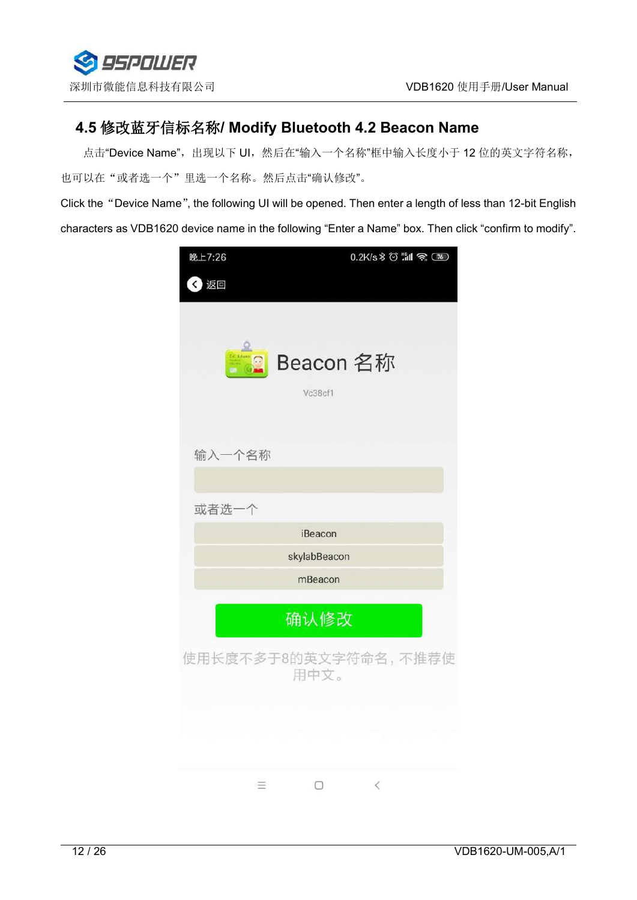

## <span id="page-11-0"></span>**4.5** 修改蓝牙信标名称**/ Modify Bluetooth 4.2 Beacon Name**

点击"Device Name",出现以下 UI, 然后在"输入一个名称"框中输入长度小于 12 位的英文字符名称, 也可以在"或者选一个"里选一个名称。然后点击"确认修改"。

Click the"Device Name", the following UI will be opened. Then enter a length of less than 12-bit English characters as VDB1620 device name in the following "Enter a Name" box. Then click "confirm to modify".

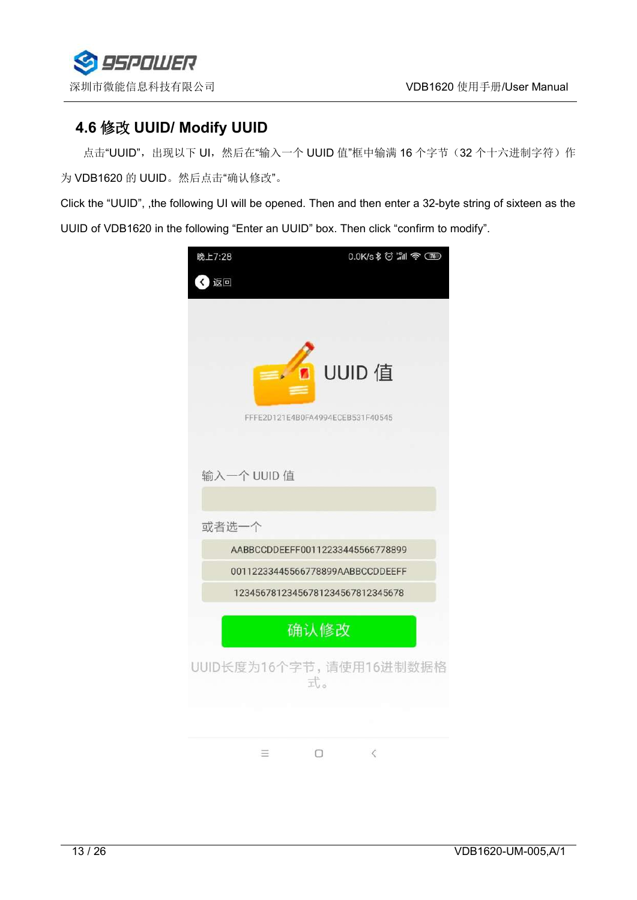

## <span id="page-12-0"></span>**4.6** 修改 **UUID/ Modify UUID**

点击"UUID",出现以下 UI,然后在"输入一个 UUID 值"框中输满 16 个字节(32 个十六进制字符)作 为 VDB1620 的 UUID。然后点击"确认修改"。

Click the "UUID", ,the following UI will be opened. Then and then enter a 32-byte string of sixteen as the UUID of VDB1620 in the following "Enter an UUID" box. Then click "confirm to modify".

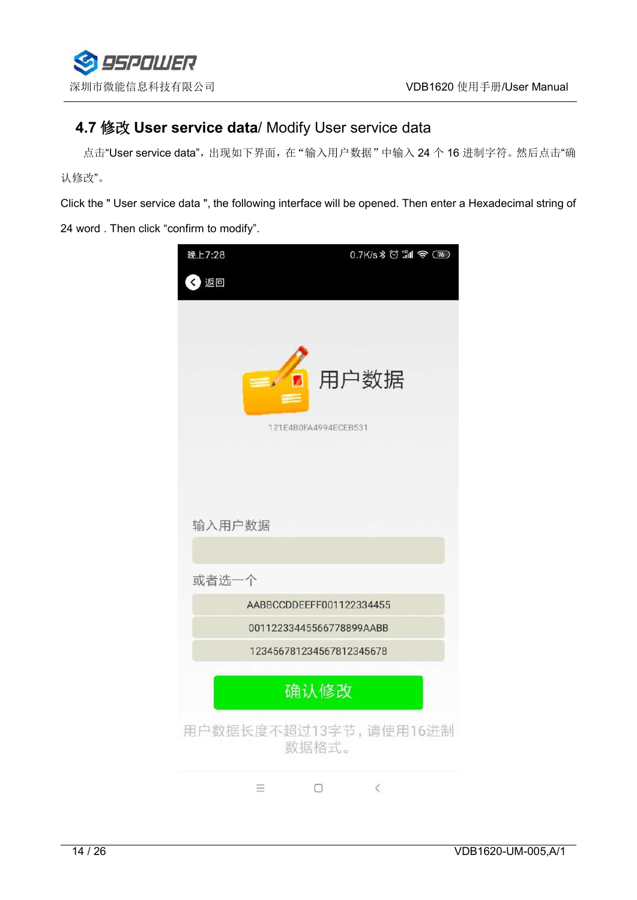

## <span id="page-13-0"></span>**4.7** 修改 **User service data**/ Modify User service data

点击"User service data",出现如下界面,在"输入用户数据"中输入 24 个 16 进制字符。然后点击"确 认修改"。

Click the " User service data ", the following interface will be opened. Then enter a Hexadecimal string of

24 word . Then click "confirm to modify".

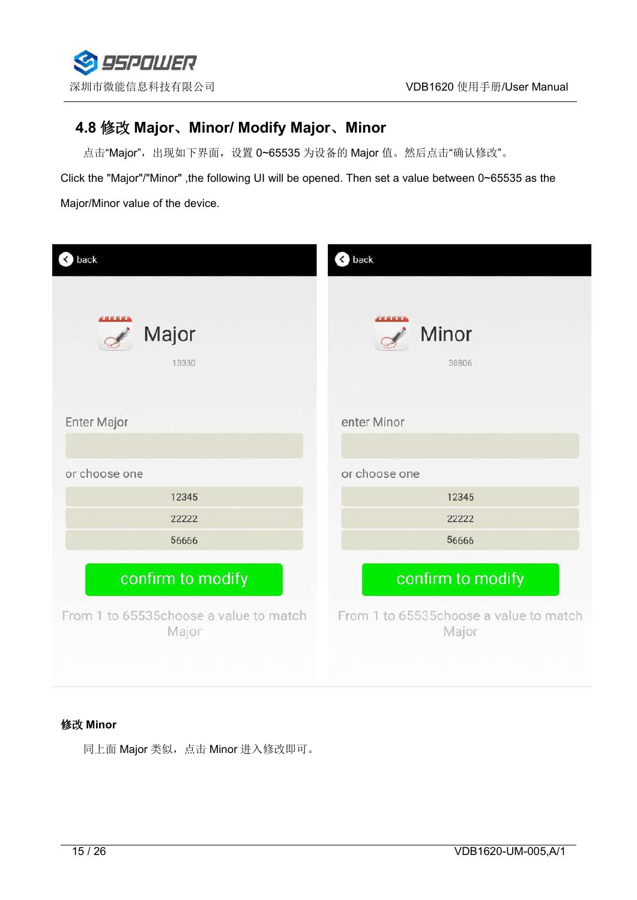

# <span id="page-14-0"></span>**4.8** 修改 **Major**、**Minor/ Modify Major**、**Minor**

点击"Major",出现如下界面,设置 0~65535 为设备的 Major 值。然后点击"确认修改"。

Click the "Major"/"Minor" ,the following UI will be opened. Then set a value between 0~65535 as the Major/Minor value of the device.

| back                                            | < back                                          |
|-------------------------------------------------|-------------------------------------------------|
| <b>ARRELLA</b><br>Major<br>13330                | <b>ARRELLA</b><br>Minor<br>30806                |
| Enter Major                                     | enter Minor                                     |
|                                                 |                                                 |
| or choose one                                   | or choose one                                   |
| 12345                                           | 12345                                           |
| 22222                                           | 22222                                           |
| 56666                                           | 56666                                           |
| confirm to modify                               | confirm to modify                               |
| From 1 to 65535choose a value to match<br>Major | From 1 to 65535choose a value to match<br>Major |

#### 修改 **Minor**

同上面 Major 类似,点击 Minor 进入修改即可。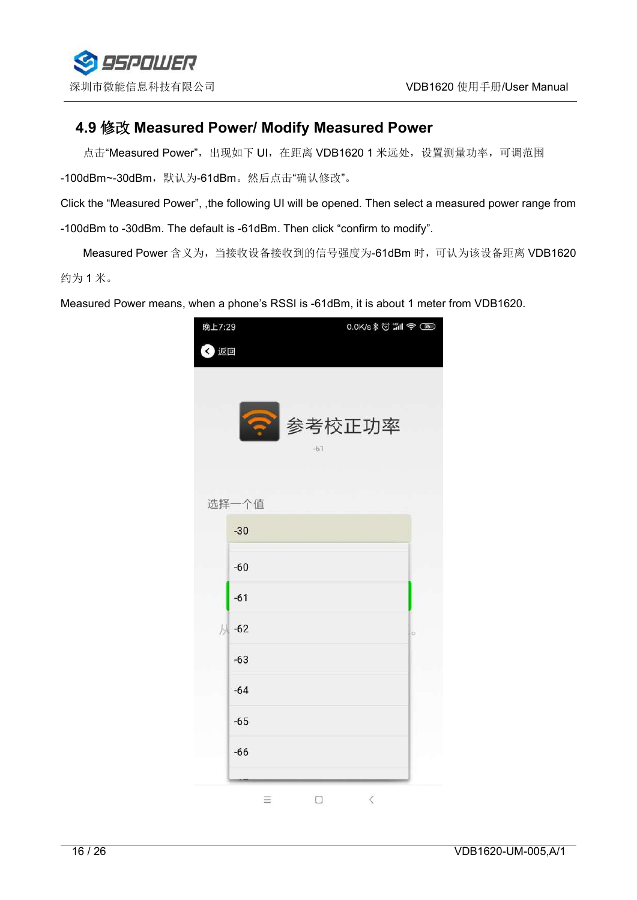

#### <span id="page-15-0"></span>**4.9** 修改 **Measured Power/ Modify Measured Power**

点击"Measured Power", 出现如下 UI, 在距离 VDB1620 1 米远处, 设置测量功率, 可调范围 -100dBm~-30dBm,默认为-61dBm。然后点击"确认修改"。

Click the "Measured Power", ,the following UI will be opened. Then select a measured power range from -100dBm to -30dBm. The default is -61dBm. Then click "confirm to modify".

Measured Power 含义为,当接收设备接收到的信号强度为-61dBm 时,可认为该设备距离 VDB1620 约为 1 米。

Measured Power means, when a phone's RSSI is -61dBm, it is about 1 meter from VDB1620.

| 晚上7:29     | 0.0K/s \$ @ "11 @ (76) |    |
|------------|------------------------|----|
| 〈 返回       |                        |    |
|            | ● 参考校正功率<br>$-61$      |    |
| 选择一个值      |                        |    |
| $-30$      |                        |    |
| $-60$      |                        |    |
| $-61$      |                        |    |
| 从<br>$-62$ |                        | lo |
| $-63$      |                        |    |
| $-64$      |                        |    |
| $-65$      |                        |    |
| $-66$      |                        |    |
|            | $\,<$<br>Ξ<br>0        |    |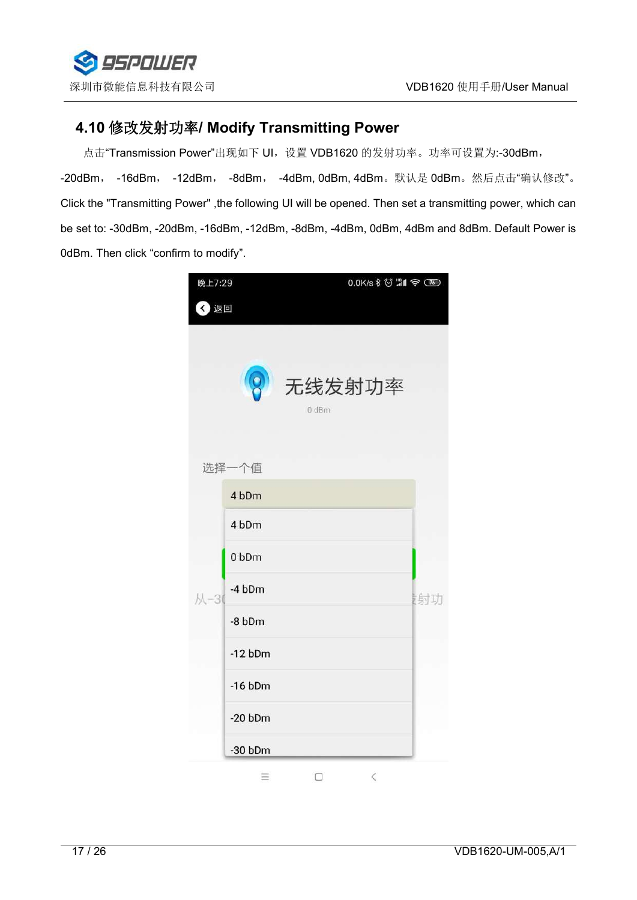

## <span id="page-16-0"></span>**4.10** 修改发射功率**/ Modify Transmitting Power**

点击"Transmission Power"出现如下 UI, 设置 VDB1620 的发射功率。功率可设置为:-30dBm,

-20dBm, -16dBm, -12dBm, -8dBm, -4dBm, 0dBm, 4dBm。默认是 0dBm。然后点击"确认修改"。 Click the "Transmitting Power" ,the following UI will be opened. Then set a transmitting power, which can be set to: -30dBm, -20dBm, -16dBm, -12dBm, -8dBm, -4dBm, 0dBm, 4dBm and 8dBm. Default Power is 0dBm. Then click "confirm to modify".

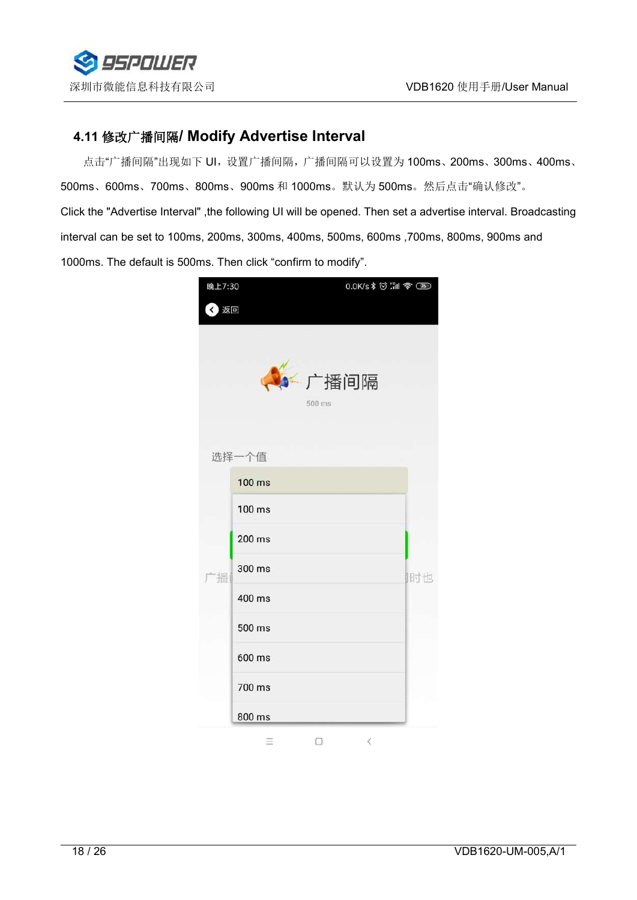

# <span id="page-17-0"></span>**4.11** 修改广播间隔**/ Modify Advertise Interval**

点击"广播间隔"出现如下 UI, 设置广播间隔, 广播间隔可以设置为 100ms、200ms、300ms、400ms、 500ms、600ms、700ms、800ms、900ms 和 1000ms。默认为 500ms。然后点击"确认修改"。 Click the "Advertise Interval" ,the following UI will be opened. Then set a advertise interval. Broadcasting interval can be set to 100ms, 200ms, 300ms, 400ms, 500ms, 600ms ,700ms, 800ms, 900ms and 1000ms. The default is 500ms. Then click "confirm to modify".

| 晚上7:30 |        | 0.0K/s \$ 0 . 1 \$ 00 |    |
|--------|--------|-----------------------|----|
| 〈 返回   |        |                       |    |
|        |        | ←广播间隔<br>500 ms       |    |
|        | 选择一个值  |                       |    |
|        | 100 ms |                       |    |
|        | 100 ms |                       |    |
|        | 200 ms |                       |    |
| 播      | 300 ms |                       | 时也 |
|        | 400 ms |                       |    |
|        | 500 ms |                       |    |
|        | 600 ms |                       |    |
|        | 700 ms |                       |    |
|        | 800 ms |                       |    |
|        | Ξ      | $\leq$<br>0           |    |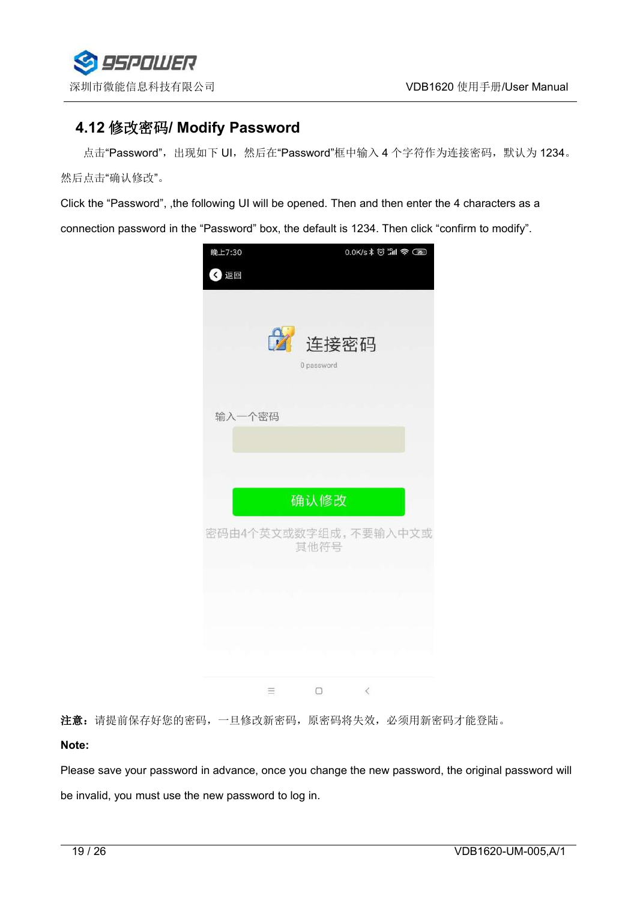

## <span id="page-18-0"></span>**4.12** 修改密码**/ Modify Password**

点击"Password",出现如下 UI, 然后在"Password"框中输入 4 个字符作为连接密码, 默认为 1234。 然后点击"确认修改"。

Click the "Password", ,the following UI will be opened. Then and then enter the 4 characters as a

connection password in the "Password" box, the default is 1234. Then click "confirm to modify".



注意: 请提前保存好您的密码, 一旦修改新密码, 原密码将失效, 必须用新密码才能登陆。

**Note:**

Please save your password in advance, once you change the new password, the original password will be invalid, you must use the new password to log in.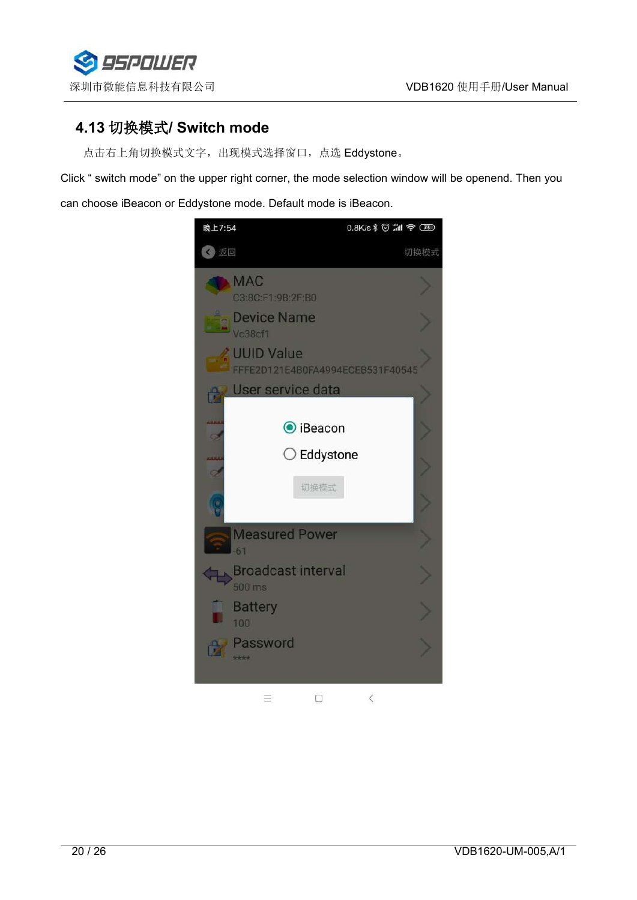

## <span id="page-19-0"></span>**4.13** 切换模式**/ Switch mode**

点击右上角切换模式文字,出现模式选择窗口,点选 Eddystone。

Click " switch mode" on the upper right corner, the mode selection window will be openend. Then you can choose iBeacon or Eddystone mode. Default mode is iBeacon.

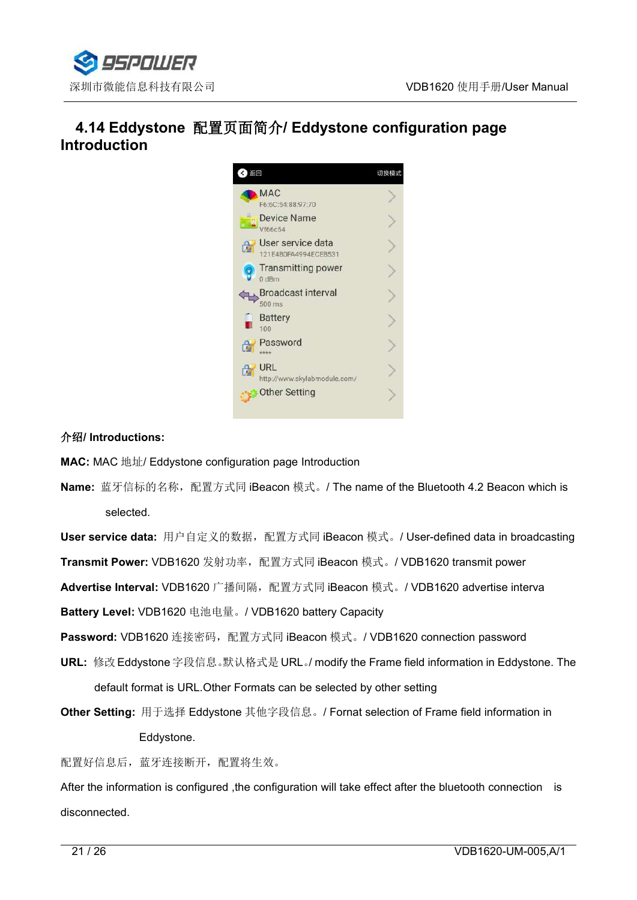

# <span id="page-20-0"></span>**4.14 Eddystone** 配置页面简介**/ Eddystone configuration page Introduction**



#### 介绍**/ Introductions:**

**MAC:** MAC 地址/ Eddystone configuration page Introduction

**Name:** 蓝牙信标的名称,配置方式同 iBeacon 模式。/ The name of the Bluetooth 4.2 Beacon which is selected.

**User service data:** 用户自定义的数据, 配置方式同 iBeacon 模式。/ User-defined data in broadcasting **Transmit Power:** VDB1620 发射功率, 配置方式同 iBeacon 模式。/ VDB1620 transmit power

**Advertise Interval:** VDB1620 广播间隔,配置方式同 iBeacon 模式。/ VDB1620 advertise interva

**Battery Level:** VDB1620 电池电量。/ VDB1620 battery Capacity

Password: VDB1620 连接密码,配置方式同 iBeacon 模式。/ VDB1620 connection password

**URL:** 修改 Eddystone 字段信息。默认格式是 URL。/ modify the Frame field information in Eddystone.The default format is URL.Other Formats can be selected by other setting

**Other Setting:** 用于选择 Eddystone 其他字段信息。/ Fornat selection of Frame field information in Eddystone.

配置好信息后,蓝牙连接断开,配置将生效。

After the information is configured , the configuration will take effect after the bluetooth connection is disconnected.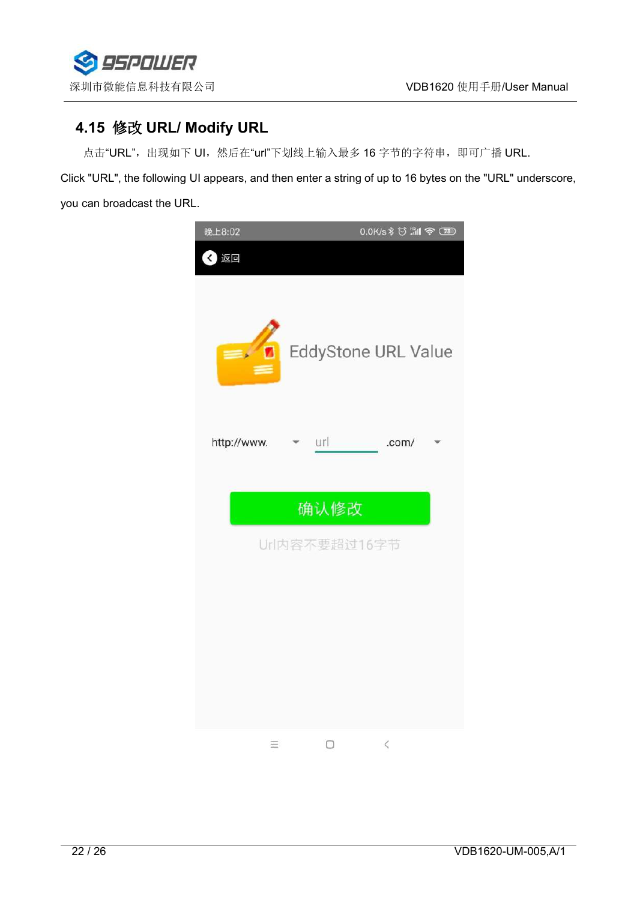

# <span id="page-21-0"></span>**4.15** 修改 **URL/ Modify URL**

点击"URL",出现如下 UI, 然后在"url"下划线上输入最多 16 字节的字符串, 即可广播 URL.

Click "URL", the following UI appears, and then enter a string of up to 16 bytes on the "URL" underscore, you can broadcast the URL.

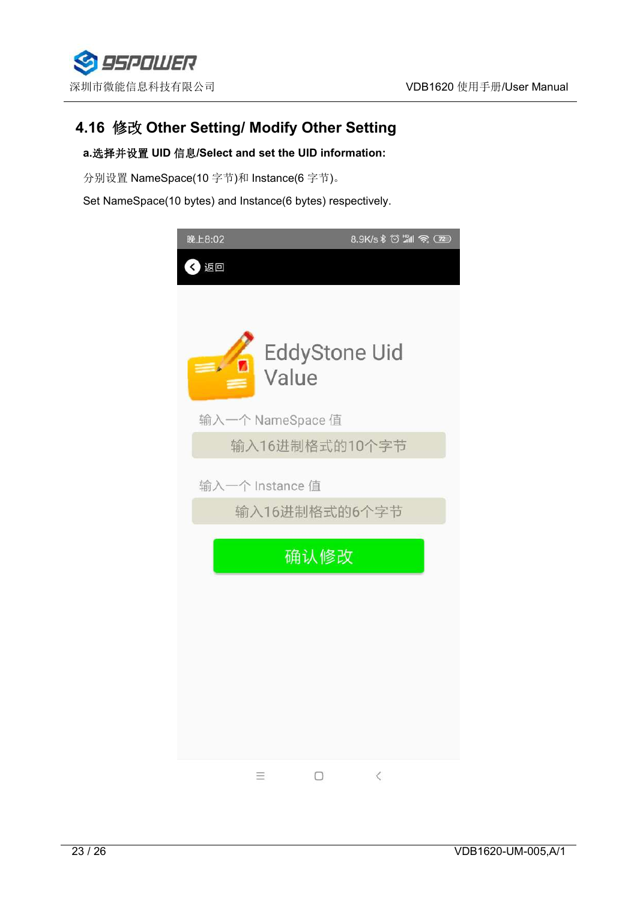

## <span id="page-22-0"></span>**4.16** 修改 **Other Setting/ Modify Other Setting**

#### **a.**选择并设置 **UID** 信息**/Select and set the UID information:**

分别设置 NameSpace(10 字节)和 Instance(6 字节)。

Set NameSpace(10 bytes) and Instance(6 bytes) respectively.

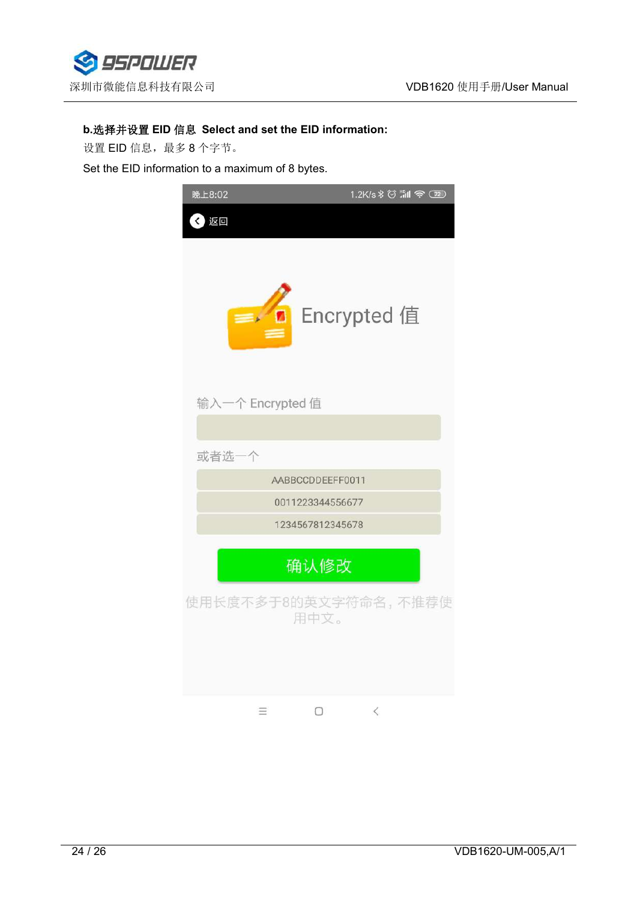

#### **b.**选择并设置 **EID** 信息 **Select and set the EID information:**

设置 EID 信息,最多8个字节。

Set the EID information to a maximum of 8 bytes.

| 晚上8:02           | 1.2K/s \$ 8 . 1 全 (72)       |
|------------------|------------------------------|
| 返回               |                              |
| $=$              | Encrypted 值<br>n             |
| 输入一个 Encrypted 值 |                              |
|                  |                              |
| 或者选一个            |                              |
|                  | AABBCCDDEEFF0011             |
|                  | 0011223344556677             |
|                  | 1234567812345678             |
|                  | 确认修改                         |
|                  | 使用长度不多于8的英文字符命名,不推荐使<br>用中文。 |
| Ξ                | $\lt$                        |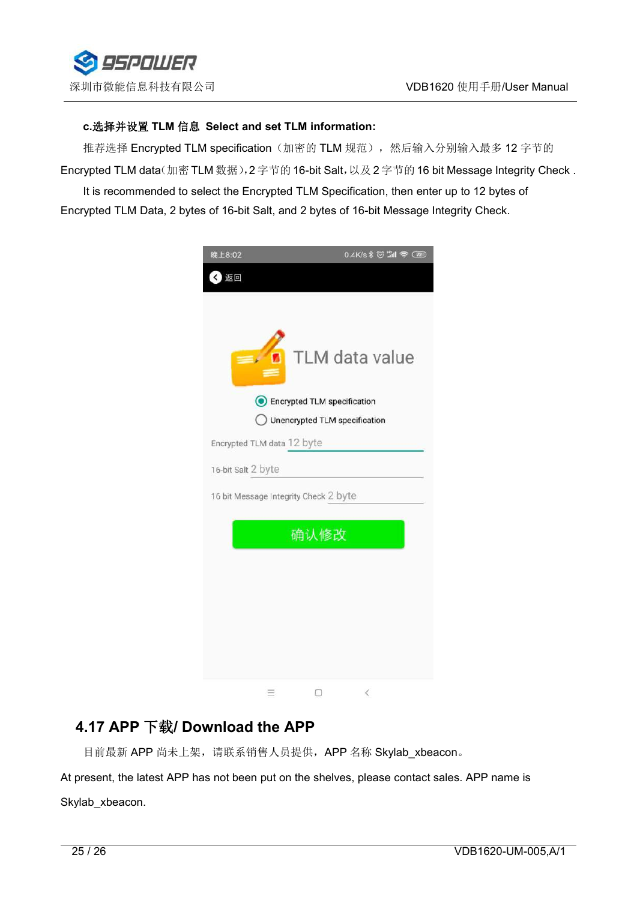

#### **c.**选择并设置 **TLM** 信息 **Select and setTLM information:**

推荐选择 Encrypted TLM specification(加密的 TLM 规范),然后输入分别输入最多 12 字节的 Encrypted TLM data(加密 TLM 数据), 2 字节的 16-bit Salt, 以及 2 字节的 16 bit Message Integrity Check.

It is recommended to select the Encrypted TLM Specification, then enter up to 12 bytes of Encrypted TLM Data, 2 bytes of 16-bit Salt, and 2 bytes of 16-bit Message Integrity Check.



## <span id="page-24-0"></span>**4.17 APP** 下载**/ Download the APP**

目前最新 APP 尚未上架, 请联系销售人员提供, APP 名称 Skylab\_xbeacon。

At present, the latest APP has not been put on the shelves, please contact sales. APP name is Skylab xbeacon.